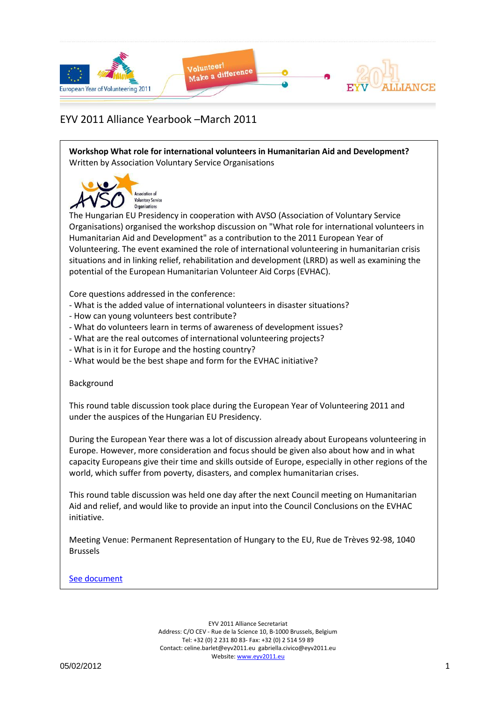

**Workshop What role for international volunteers in Humanitarian Aid and Development?** Written by Association Voluntary Service Organisations



The Hungarian EU Presidency in cooperation with AVSO (Association of Voluntary Service Organisations) organised the workshop discussion on "What role for international volunteers in Humanitarian Aid and Development" as a contribution to the 2011 European Year of Volunteering. The event examined the role of international volunteering in humanitarian crisis situations and in linking relief, rehabilitation and development (LRRD) as well as examining the potential of the European Humanitarian Volunteer Aid Corps (EVHAC).

Core questions addressed in the conference:

- What is the added value of international volunteers in disaster situations?
- How can young volunteers best contribute?
- What do volunteers learn in terms of awareness of development issues?
- What are the real outcomes of international volunteering projects?
- What is in it for Europe and the hosting country?
- What would be the best shape and form for the EVHAC initiative?

#### Background

This round table discussion took place during the European Year of Volunteering 2011 and under the auspices of the Hungarian EU Presidency.

During the European Year there was a lot of discussion already about Europeans volunteering in Europe. However, more consideration and focus should be given also about how and in what capacity Europeans give their time and skills outside of Europe, especially in other regions of the world, which suffer from poverty, disasters, and complex humanitarian crises.

This round table discussion was held one day after the next Council meeting on Humanitarian Aid and relief, and would like to provide an input into the Council Conclusions on the EVHAC initiative.

Meeting Venue: Permanent Representation of Hungary to the EU, Rue de Trèves 92-98, 1040 Brussels

#### [See document](Yearbook_March2011_Docs/Workshop%20What%20role%20for%20international%20volunteers%20in%20Humanitarian%20Aid%20and%20Development_AVSO.pdf)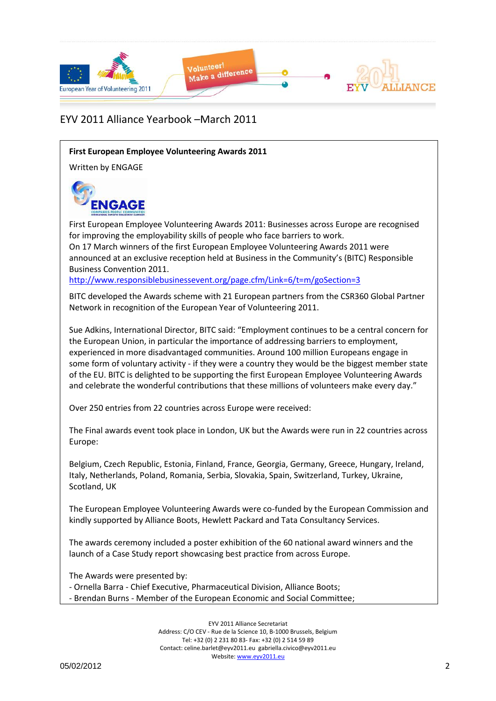

#### **First European Employee Volunteering Awards 2011**

Written by ENGAGE



First European Employee Volunteering Awards 2011: Businesses across Europe are recognised for improving the employability skills of people who face barriers to work. On 17 March winners of the first European Employee Volunteering Awards 2011 were announced at an exclusive reception held at Business in the Community's (BITC) Responsible Business Convention 2011.

<http://www.responsiblebusinessevent.org/page.cfm/Link=6/t=m/goSection=3>

BITC developed the Awards scheme with 21 European partners from the CSR360 Global Partner Network in recognition of the European Year of Volunteering 2011.

Sue Adkins, International Director, BITC said: "Employment continues to be a central concern for the European Union, in particular the importance of addressing barriers to employment, experienced in more disadvantaged communities. Around 100 million Europeans engage in some form of voluntary activity - if they were a country they would be the biggest member state of the EU. BITC is delighted to be supporting the first European Employee Volunteering Awards and celebrate the wonderful contributions that these millions of volunteers make every day."

Over 250 entries from 22 countries across Europe were received:

The Final awards event took place in London, UK but the Awards were run in 22 countries across Europe:

Belgium, Czech Republic, Estonia, Finland, France, Georgia, Germany, Greece, Hungary, Ireland, Italy, Netherlands, Poland, Romania, Serbia, Slovakia, Spain, Switzerland, Turkey, Ukraine, Scotland, UK

The European Employee Volunteering Awards were co-funded by the European Commission and kindly supported by Alliance Boots, Hewlett Packard and Tata Consultancy Services.

The awards ceremony included a poster exhibition of the 60 national award winners and the launch of a Case Study report showcasing best practice from across Europe.

The Awards were presented by:

- Ornella Barra - Chief Executive, Pharmaceutical Division, Alliance Boots;

- Brendan Burns - Member of the European Economic and Social Committee;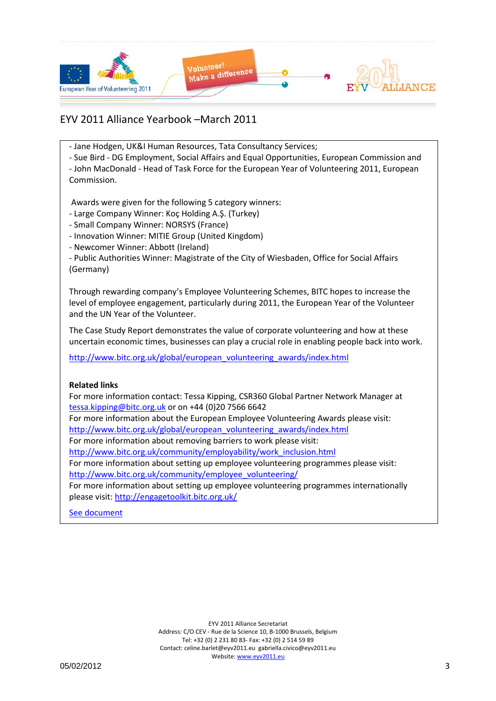

- Jane Hodgen, UK&I Human Resources, Tata Consultancy Services;

- Sue Bird - DG Employment, Social Affairs and Equal Opportunities, European Commission and

- John MacDonald - Head of Task Force for the European Year of Volunteering 2011, European Commission.

Awards were given for the following 5 category winners:

- Large Company Winner: Koç Holding A.Ş. (Turkey)
- Small Company Winner: NORSYS (France)
- Innovation Winner: MITIE Group (United Kingdom)
- Newcomer Winner: Abbott (Ireland)

- Public Authorities Winner: Magistrate of the City of Wiesbaden, Office for Social Affairs (Germany)

Through rewarding company's Employee Volunteering Schemes, BITC hopes to increase the level of employee engagement, particularly during 2011, the European Year of the Volunteer and the UN Year of the Volunteer.

The Case Study Report demonstrates the value of corporate volunteering and how at these uncertain economic times, businesses can play a crucial role in enabling people back into work.

[http://www.bitc.org.uk/global/european\\_volunteering\\_awards/index.html](http://www.bitc.org.uk/global/european_volunteering_awards/index.html)

#### **Related links**

For more information contact: Tessa Kipping, CSR360 Global Partner Network Manager at [tessa.kipping@bitc.org.uk](mailto:tessa.kipping@bitc.org.uk) or on +44 (0)20 7566 6642

For more information about the European Employee Volunteering Awards please visit: [http://www.bitc.org.uk/global/european\\_volunteering\\_awards/index.html](http://www.bitc.org.uk/global/european_volunteering_awards/index.html)

For more information about removing barriers to work please visit:

[http://www.bitc.org.uk/community/employability/work\\_inclusion.html](http://www.bitc.org.uk/community/employability/work_inclusion.html)

For more information about setting up employee volunteering programmes please visit: [http://www.bitc.org.uk/community/employee\\_volunteering/](http://www.bitc.org.uk/community/employee_volunteering/)

For more information about setting up employee volunteering programmes internationally please visit:<http://engagetoolkit.bitc.org.uk/>

[See document](Yearbook_March2011_Docs/European_Employee_Volunteering_Awards_Case_Study_Report.pdf)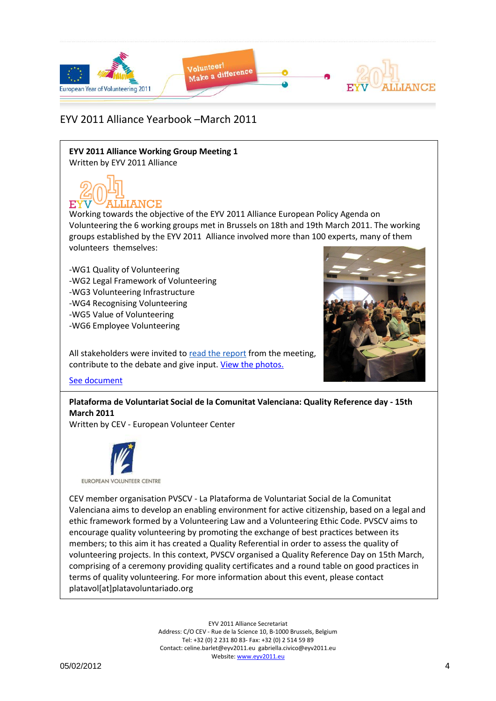

**EYV 2011 Alliance Working Group Meeting 1** Written by EYV 2011 Alliance

ALLIANCE

Working towards the objective of the EYV 2011 Alliance European Policy Agenda on Volunteering the 6 working groups met in Brussels on 18th and 19th March 2011. The working groups established by the EYV 2011 Alliance involved more than 100 experts, many of them volunteers themselves:

-WG1 Quality of Volunteering -WG2 Legal Framework of Volunteering -WG3 Volunteering Infrastructure -WG4 Recognising Volunteering -WG5 Value of Volunteering -WG6 Employee Volunteering



contribute to the debate and give input[. View the photos.](http://www.facebook.com/media/set/?set=a.215694398442699.64380.212863205392485&type=1&l=9b3a02b41e)

All stakeholders were invited to [read the report](http://www.eyv2011.eu/index.php?option=com_acymailing&ctrl=url&urlid=227&mailid=19&subid=3) from the meeting,

[See document](Yearbook_March2011_Docs/eyv2011alliance_wg_marchmeeting_finalreport.pdf)

**Plataforma de Voluntariat Social de la Comunitat Valenciana: Quality Reference day - 15th March 2011**

Written by CEV - European Volunteer Center



CEV member organisation PVSCV - La Plataforma de Voluntariat Social de la Comunitat Valenciana aims to develop an enabling environment for active citizenship, based on a legal and ethic framework formed by a Volunteering Law and a Volunteering Ethic Code. PVSCV aims to encourage quality volunteering by promoting the exchange of best practices between its members; to this aim it has created a Quality Referential in order to assess the quality of volunteering projects. In this context, PVSCV organised a Quality Reference Day on 15th March, comprising of a ceremony providing quality certificates and a round table on good practices in terms of quality volunteering. For more information about this event, please contact platavol[at]platavoluntariado.org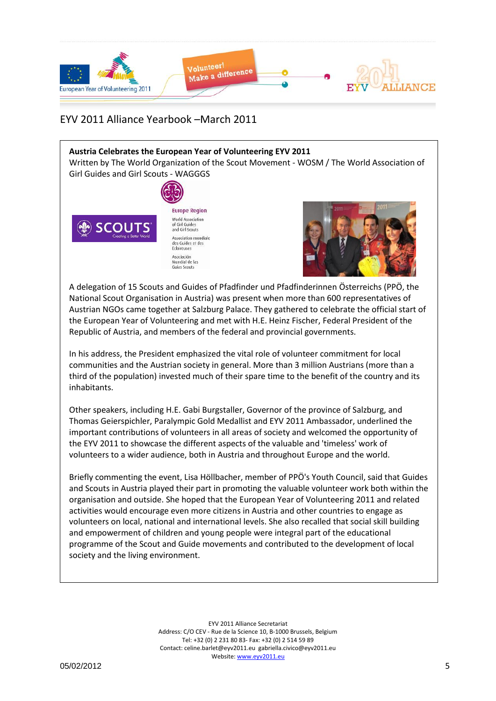

#### **Austria Celebrates the European Year of Volunteering EYV 2011** Written by The World Organization of the Scout Movement - WOSM / The World Association of Girl Guides and Girl Scouts - WAGGGS



**Europe Region** World Association<br>of Girl Guides<br>and Girl Scouts Association mondiale<br>des Guides et des<br>Eclaireuses Asociación Asociación<br>Mundial de las<br>Guías Scouts



A delegation of 15 Scouts and Guides of Pfadfinder und Pfadfinderinnen Österreichs (PPÖ, the National Scout Organisation in Austria) was present when more than 600 representatives of Austrian NGOs came together at Salzburg Palace. They gathered to celebrate the official start of the European Year of Volunteering and met with H.E. Heinz Fischer, Federal President of the Republic of Austria, and members of the federal and provincial governments.

In his address, the President emphasized the vital role of volunteer commitment for local communities and the Austrian society in general. More than 3 million Austrians (more than a third of the population) invested much of their spare time to the benefit of the country and its inhabitants.

Other speakers, including H.E. Gabi Burgstaller, Governor of the province of Salzburg, and Thomas Geierspichler, Paralympic Gold Medallist and EYV 2011 Ambassador, underlined the important contributions of volunteers in all areas of society and welcomed the opportunity of the EYV 2011 to showcase the different aspects of the valuable and 'timeless' work of volunteers to a wider audience, both in Austria and throughout Europe and the world.

Briefly commenting the event, Lisa Höllbacher, member of PPÖ's Youth Council, said that Guides and Scouts in Austria played their part in promoting the valuable volunteer work both within the organisation and outside. She hoped that the European Year of Volunteering 2011 and related activities would encourage even more citizens in Austria and other countries to engage as volunteers on local, national and international levels. She also recalled that social skill building and empowerment of children and young people were integral part of the educational programme of the Scout and Guide movements and contributed to the development of local society and the living environment.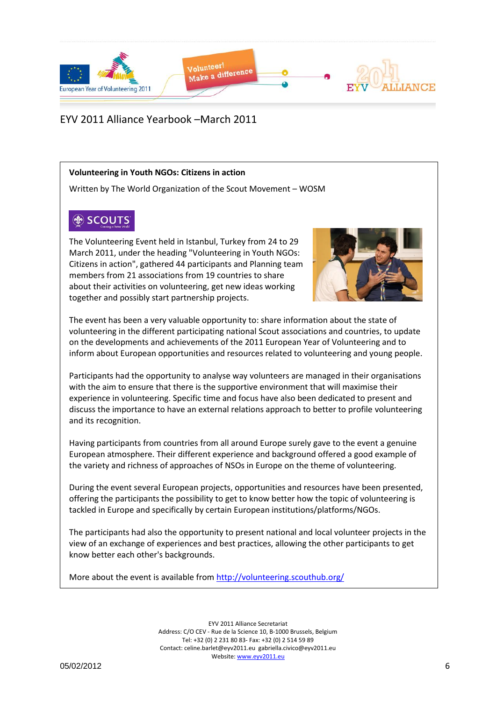

#### **Volunteering in Youth NGOs: Citizens in action**

Written by The World Organization of the Scout Movement – WOSM

# **OP** SCOUTS

The Volunteering Event held in Istanbul, Turkey from 24 to 29 March 2011, under the heading "Volunteering in Youth NGOs: Citizens in action", gathered 44 participants and Planning team members from 21 associations from 19 countries to share about their activities on volunteering, get new ideas working together and possibly start partnership projects.



The event has been a very valuable opportunity to: share information about the state of volunteering in the different participating national Scout associations and countries, to update on the developments and achievements of the 2011 European Year of Volunteering and to inform about European opportunities and resources related to volunteering and young people.

Participants had the opportunity to analyse way volunteers are managed in their organisations with the aim to ensure that there is the supportive environment that will maximise their experience in volunteering. Specific time and focus have also been dedicated to present and discuss the importance to have an external relations approach to better to profile volunteering and its recognition.

Having participants from countries from all around Europe surely gave to the event a genuine European atmosphere. Their different experience and background offered a good example of the variety and richness of approaches of NSOs in Europe on the theme of volunteering.

During the event several European projects, opportunities and resources have been presented, offering the participants the possibility to get to know better how the topic of volunteering is tackled in Europe and specifically by certain European institutions/platforms/NGOs.

The participants had also the opportunity to present national and local volunteer projects in the view of an exchange of experiences and best practices, allowing the other participants to get know better each other's backgrounds.

More about the event is available from<http://volunteering.scouthub.org/>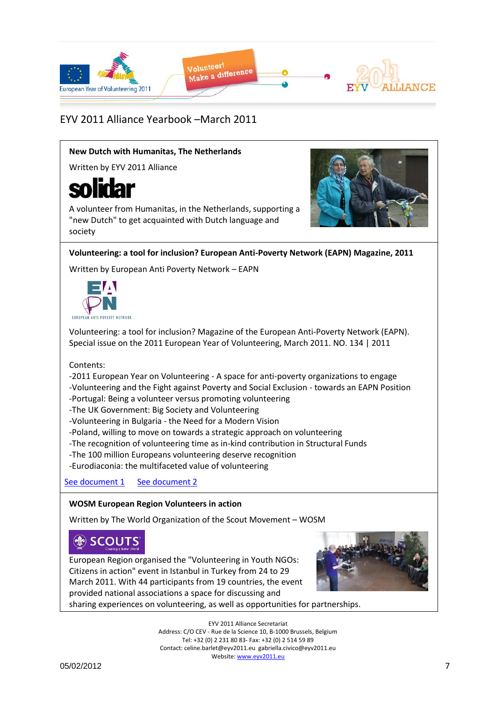

#### **New Dutch with Humanitas, The Netherlands**

Written by EYV 2011 Alliance

# solidar

A volunteer from Humanitas, in the Netherlands, supporting a "new Dutch" to get acquainted with Dutch language and society



**Volunteering: a tool for inclusion? European Anti-Poverty Network (EAPN) Magazine, 2011**

Written by European Anti Poverty Network – EAPN



Volunteering: a tool for inclusion? Magazine of the European Anti-Poverty Network (EAPN). Special issue on the 2011 European Year of Volunteering, March 2011. NO. 134 | 2011

Contents:

-2011 European Year on Volunteering - A space for anti-poverty organizations to engage -Volunteering and the Fight against Poverty and Social Exclusion - towards an EAPN Position

-Portugal: Being a volunteer versus promoting volunteering

-The UK Government: Big Society and Volunteering

-Volunteering in Bulgaria - the Need for a Modern Vision

-Poland, willing to move on towards a strategic approach on volunteering

-The recognition of volunteering time as in-kind contribution in Structural Funds

-The 100 million Europeans volunteering deserve recognition

-Eurodiaconia: the multifaceted value of volunteering

[See document 1](Yearbook_March2011_Docs/Volunteering%20-%20a%20tool%20for%20inclusion%20(en)_EAPN.pdf) [See document 2](Yearbook_March2011_Docs/Volunteering%20-%20a%20tool%20for%20inclusion%20(fr)_EAPN.pdf)

#### **WOSM European Region Volunteers in action**

Written by The World Organization of the Scout Movement – WOSM

# **SCOUTS**

European Region organised the "Volunteering in Youth NGOs: Citizens in action" event in Istanbul in Turkey from 24 to 29 March 2011. With 44 participants from 19 countries, the event provided national associations a space for discussing and sharing experiences on volunteering, as well as opportunities for partnerships.